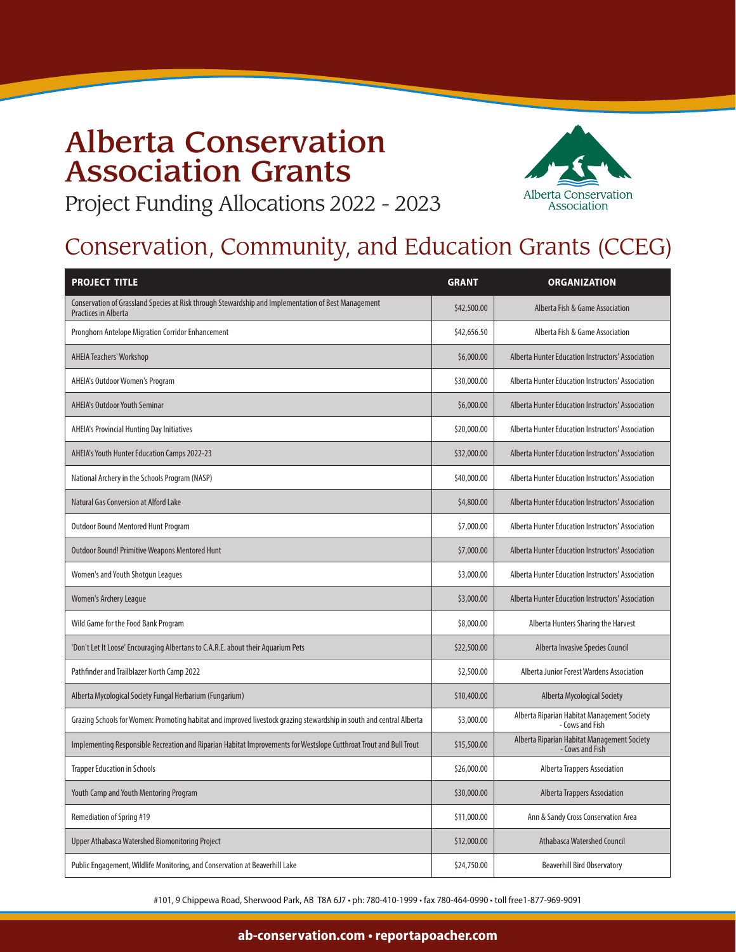### Alberta Conservation Association Grants Project Funding Allocations 2022 - 2023



### Conservation, Community, and Education Grants (CCEG)

| <b>PROJECT TITLE</b>                                                                                                               | <b>GRANT</b> | <b>ORGANIZATION</b>                                            |
|------------------------------------------------------------------------------------------------------------------------------------|--------------|----------------------------------------------------------------|
| Conservation of Grassland Species at Risk through Stewardship and Implementation of Best Management<br><b>Practices in Alberta</b> | \$42,500.00  | Alberta Fish & Game Association                                |
| Pronghorn Antelope Migration Corridor Enhancement                                                                                  | \$42,656.50  | Alberta Fish & Game Association                                |
| <b>AHEIA Teachers' Workshop</b>                                                                                                    | \$6,000.00   | Alberta Hunter Education Instructors' Association              |
| AHEIA's Outdoor Women's Program                                                                                                    | \$30,000.00  | Alberta Hunter Education Instructors' Association              |
| <b>AHEIA's Outdoor Youth Seminar</b>                                                                                               | \$6,000.00   | Alberta Hunter Education Instructors' Association              |
| AHEIA's Provincial Hunting Day Initiatives                                                                                         | \$20,000.00  | Alberta Hunter Education Instructors' Association              |
| AHEIA's Youth Hunter Education Camps 2022-23                                                                                       | \$32,000.00  | Alberta Hunter Education Instructors' Association              |
| National Archery in the Schools Program (NASP)                                                                                     | \$40,000.00  | Alberta Hunter Education Instructors' Association              |
| <b>Natural Gas Conversion at Alford Lake</b>                                                                                       | \$4,800.00   | Alberta Hunter Education Instructors' Association              |
| Outdoor Bound Mentored Hunt Program                                                                                                | \$7,000.00   | Alberta Hunter Education Instructors' Association              |
| <b>Outdoor Bound! Primitive Weapons Mentored Hunt</b>                                                                              | \$7,000.00   | Alberta Hunter Education Instructors' Association              |
| Women's and Youth Shotgun Leagues                                                                                                  | \$3,000.00   | Alberta Hunter Education Instructors' Association              |
| Women's Archery League                                                                                                             | \$3,000.00   | Alberta Hunter Education Instructors' Association              |
| Wild Game for the Food Bank Program                                                                                                | \$8,000.00   | Alberta Hunters Sharing the Harvest                            |
| 'Don't Let It Loose' Encouraging Albertans to C.A.R.E. about their Aquarium Pets                                                   | \$22,500.00  | Alberta Invasive Species Council                               |
| Pathfinder and Trailblazer North Camp 2022                                                                                         | \$2,500.00   | Alberta Junior Forest Wardens Association                      |
| Alberta Mycological Society Fungal Herbarium (Fungarium)                                                                           | \$10,400.00  | Alberta Mycological Society                                    |
| Grazing Schools for Women: Promoting habitat and improved livestock grazing stewardship in south and central Alberta               | \$3,000.00   | Alberta Riparian Habitat Management Society<br>- Cows and Fish |
| Implementing Responsible Recreation and Riparian Habitat Improvements for Westslope Cutthroat Trout and Bull Trout                 | \$15,500.00  | Alberta Riparian Habitat Management Society<br>- Cows and Fish |
| <b>Trapper Education in Schools</b>                                                                                                | \$26,000.00  | Alberta Trappers Association                                   |
| Youth Camp and Youth Mentoring Program                                                                                             | \$30,000.00  | <b>Alberta Trappers Association</b>                            |
| Remediation of Spring #19                                                                                                          | \$11,000.00  | Ann & Sandy Cross Conservation Area                            |
| Upper Athabasca Watershed Biomonitoring Project                                                                                    | \$12,000.00  | Athabasca Watershed Council                                    |
| Public Engagement, Wildlife Monitoring, and Conservation at Beaverhill Lake                                                        | \$24,750.00  | <b>Beaverhill Bird Observatory</b>                             |

#101, 9 Chippewa Road, Sherwood Park, AB T8A 6J7 • ph: 780-410-1999 • fax 780-464-0990 • toll free1-877-969-9091

#### **ab-conservation.com • reportapoacher.com**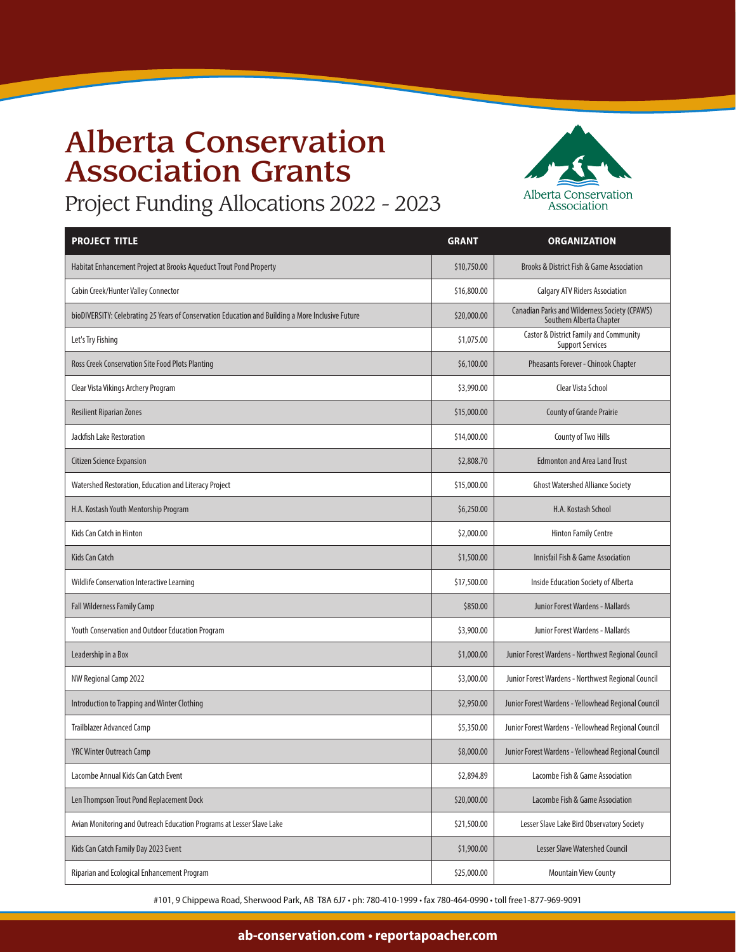# Alberta Conservation Association Grants



Project Funding Allocations 2022 - 2023

| <b>PROJECT TITLE</b>                                                                              | <b>GRANT</b> | <b>ORGANIZATION</b>                                                              |
|---------------------------------------------------------------------------------------------------|--------------|----------------------------------------------------------------------------------|
| Habitat Enhancement Project at Brooks Aqueduct Trout Pond Property                                | \$10,750.00  | Brooks & District Fish & Game Association                                        |
| Cabin Creek/Hunter Valley Connector                                                               | \$16,800.00  | <b>Calgary ATV Riders Association</b>                                            |
| bioDIVERSITY: Celebrating 25 Years of Conservation Education and Building a More Inclusive Future | \$20,000.00  | <b>Canadian Parks and Wilderness Society (CPAWS)</b><br>Southern Alberta Chapter |
| Let's Try Fishing                                                                                 | \$1,075.00   | Castor & District Family and Community<br><b>Support Services</b>                |
| Ross Creek Conservation Site Food Plots Planting                                                  | \$6,100.00   | Pheasants Forever - Chinook Chapter                                              |
| Clear Vista Vikings Archery Program                                                               | \$3,990.00   | Clear Vista School                                                               |
| <b>Resilient Riparian Zones</b>                                                                   | \$15,000.00  | <b>County of Grande Prairie</b>                                                  |
| Jackfish Lake Restoration                                                                         | \$14,000.00  | County of Two Hills                                                              |
| <b>Citizen Science Expansion</b>                                                                  | \$2,808.70   | <b>Edmonton and Area Land Trust</b>                                              |
| Watershed Restoration, Education and Literacy Project                                             | \$15,000.00  | <b>Ghost Watershed Alliance Society</b>                                          |
| H.A. Kostash Youth Mentorship Program                                                             | \$6,250.00   | H.A. Kostash School                                                              |
| Kids Can Catch in Hinton                                                                          | \$2,000.00   | <b>Hinton Family Centre</b>                                                      |
| <b>Kids Can Catch</b>                                                                             | \$1,500.00   | Innisfail Fish & Game Association                                                |
| Wildlife Conservation Interactive Learning                                                        | \$17,500.00  | Inside Education Society of Alberta                                              |
| Fall Wilderness Family Camp                                                                       | \$850.00     | Junior Forest Wardens - Mallards                                                 |
| Youth Conservation and Outdoor Education Program                                                  | \$3,900.00   | Junior Forest Wardens - Mallards                                                 |
| Leadership in a Box                                                                               | \$1,000.00   | Junior Forest Wardens - Northwest Regional Council                               |
| NW Regional Camp 2022                                                                             | \$3,000.00   | Junior Forest Wardens - Northwest Regional Council                               |
| <b>Introduction to Trapping and Winter Clothing</b>                                               | \$2,950.00   | Junior Forest Wardens - Yellowhead Regional Council                              |
| <b>Trailblazer Advanced Camp</b>                                                                  | \$5,350.00   | Junior Forest Wardens - Yellowhead Regional Council                              |
| <b>YRC Winter Outreach Camp</b>                                                                   | \$8,000.00   | Junior Forest Wardens - Yellowhead Regional Council                              |
| Lacombe Annual Kids Can Catch Event                                                               | \$2,894.89   | Lacombe Fish & Game Association                                                  |
| Len Thompson Trout Pond Replacement Dock                                                          | \$20,000.00  | Lacombe Fish & Game Association                                                  |
| Avian Monitoring and Outreach Education Programs at Lesser Slave Lake                             | \$21,500.00  | Lesser Slave Lake Bird Observatory Society                                       |
| Kids Can Catch Family Day 2023 Event                                                              | \$1,900.00   | Lesser Slave Watershed Council                                                   |
| Riparian and Ecological Enhancement Program                                                       | \$25,000.00  | <b>Mountain View County</b>                                                      |

#101, 9 Chippewa Road, Sherwood Park, AB T8A 6J7 • ph: 780-410-1999 • fax 780-464-0990 • toll free1-877-969-9091

#### **ab-conservation.com • reportapoacher.com**